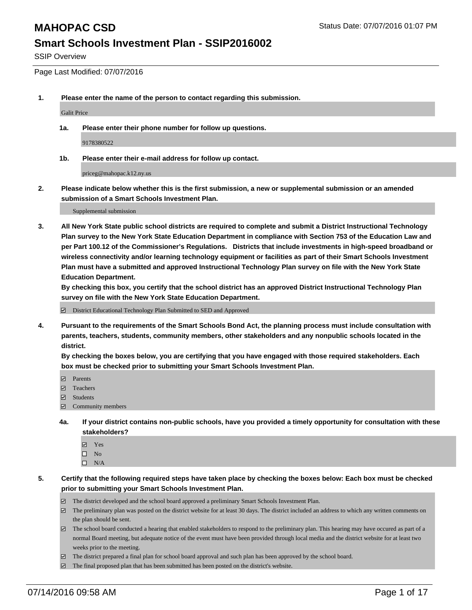SSIP Overview

Page Last Modified: 07/07/2016

**1. Please enter the name of the person to contact regarding this submission.**

Galit Price

**1a. Please enter their phone number for follow up questions.**

9178380522

**1b. Please enter their e-mail address for follow up contact.**

priceg@mahopac.k12.ny.us

**2. Please indicate below whether this is the first submission, a new or supplemental submission or an amended submission of a Smart Schools Investment Plan.**

Supplemental submission

**3. All New York State public school districts are required to complete and submit a District Instructional Technology Plan survey to the New York State Education Department in compliance with Section 753 of the Education Law and per Part 100.12 of the Commissioner's Regulations. Districts that include investments in high-speed broadband or wireless connectivity and/or learning technology equipment or facilities as part of their Smart Schools Investment Plan must have a submitted and approved Instructional Technology Plan survey on file with the New York State Education Department.** 

**By checking this box, you certify that the school district has an approved District Instructional Technology Plan survey on file with the New York State Education Department.**

District Educational Technology Plan Submitted to SED and Approved

**4. Pursuant to the requirements of the Smart Schools Bond Act, the planning process must include consultation with parents, teachers, students, community members, other stakeholders and any nonpublic schools located in the district.** 

**By checking the boxes below, you are certifying that you have engaged with those required stakeholders. Each box must be checked prior to submitting your Smart Schools Investment Plan.**

- **Parents**
- Teachers
- Students
- Community members
- **4a. If your district contains non-public schools, have you provided a timely opportunity for consultation with these stakeholders?**
	- Yes  $\square$  No
	- $\square$  N/A
- **5. Certify that the following required steps have taken place by checking the boxes below: Each box must be checked prior to submitting your Smart Schools Investment Plan.**
	- The district developed and the school board approved a preliminary Smart Schools Investment Plan.
	- $\boxdot$  The preliminary plan was posted on the district website for at least 30 days. The district included an address to which any written comments on the plan should be sent.
	- $\Box$  The school board conducted a hearing that enabled stakeholders to respond to the preliminary plan. This hearing may have occured as part of a normal Board meeting, but adequate notice of the event must have been provided through local media and the district website for at least two weeks prior to the meeting.
	- The district prepared a final plan for school board approval and such plan has been approved by the school board.
	- $\boxdot$  The final proposed plan that has been submitted has been posted on the district's website.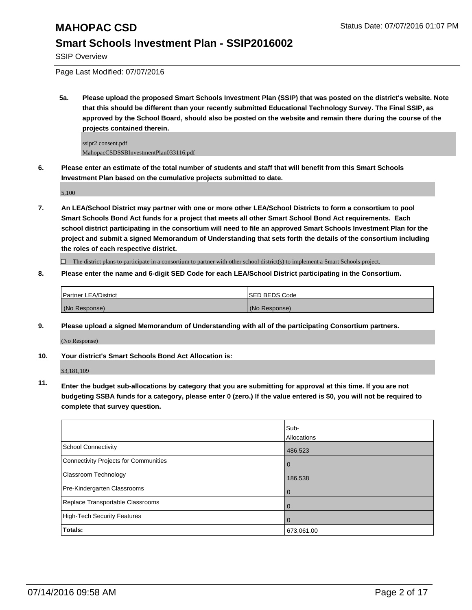SSIP Overview

Page Last Modified: 07/07/2016

**5a. Please upload the proposed Smart Schools Investment Plan (SSIP) that was posted on the district's website. Note that this should be different than your recently submitted Educational Technology Survey. The Final SSIP, as approved by the School Board, should also be posted on the website and remain there during the course of the projects contained therein.**

ssipr2 consent.pdf MahopacCSDSSBInvestmentPlan033116.pdf

**6. Please enter an estimate of the total number of students and staff that will benefit from this Smart Schools Investment Plan based on the cumulative projects submitted to date.**

5,100

**7. An LEA/School District may partner with one or more other LEA/School Districts to form a consortium to pool Smart Schools Bond Act funds for a project that meets all other Smart School Bond Act requirements. Each school district participating in the consortium will need to file an approved Smart Schools Investment Plan for the project and submit a signed Memorandum of Understanding that sets forth the details of the consortium including the roles of each respective district.**

 $\Box$  The district plans to participate in a consortium to partner with other school district(s) to implement a Smart Schools project.

**8. Please enter the name and 6-digit SED Code for each LEA/School District participating in the Consortium.**

| <b>Partner LEA/District</b> | <b>ISED BEDS Code</b> |
|-----------------------------|-----------------------|
| (No Response)               | (No Response)         |

**9. Please upload a signed Memorandum of Understanding with all of the participating Consortium partners.**

(No Response)

#### **10. Your district's Smart Schools Bond Act Allocation is:**

\$3,181,109

**11. Enter the budget sub-allocations by category that you are submitting for approval at this time. If you are not budgeting SSBA funds for a category, please enter 0 (zero.) If the value entered is \$0, you will not be required to complete that survey question.**

|                                       | Sub-<br>Allocations |
|---------------------------------------|---------------------|
| School Connectivity                   | 486,523             |
| Connectivity Projects for Communities | O                   |
| <b>Classroom Technology</b>           | 186,538             |
| Pre-Kindergarten Classrooms           |                     |
| Replace Transportable Classrooms      |                     |
| High-Tech Security Features           | O                   |
| Totals:                               | 673,061.00          |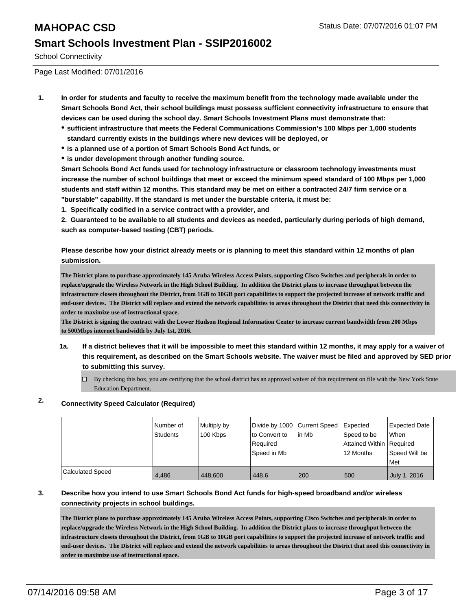School Connectivity

Page Last Modified: 07/01/2016

- **1. In order for students and faculty to receive the maximum benefit from the technology made available under the Smart Schools Bond Act, their school buildings must possess sufficient connectivity infrastructure to ensure that devices can be used during the school day. Smart Schools Investment Plans must demonstrate that:**
	- **sufficient infrastructure that meets the Federal Communications Commission's 100 Mbps per 1,000 students standard currently exists in the buildings where new devices will be deployed, or**
	- **is a planned use of a portion of Smart Schools Bond Act funds, or**
	- **is under development through another funding source.**

**Smart Schools Bond Act funds used for technology infrastructure or classroom technology investments must increase the number of school buildings that meet or exceed the minimum speed standard of 100 Mbps per 1,000 students and staff within 12 months. This standard may be met on either a contracted 24/7 firm service or a "burstable" capability. If the standard is met under the burstable criteria, it must be:**

**1. Specifically codified in a service contract with a provider, and**

**2. Guaranteed to be available to all students and devices as needed, particularly during periods of high demand, such as computer-based testing (CBT) periods.**

**Please describe how your district already meets or is planning to meet this standard within 12 months of plan submission.**

**The District plans to purchase approximately 145 Aruba Wireless Access Points, supporting Cisco Switches and peripherals in order to replace/upgrade the Wireless Network in the High School Building. In addition the District plans to increase throughput between the infrastructure closets throughout the District, from 1GB to 10GB port capabilities to support the projected increase of network traffic and end-user devices. The District will replace and extend the network capabilities to areas throughout the District that need this connectivity in order to maximize use of instructional space.**

**The District is signing the contract with the Lower Hudson Regional Information Center to increase current bandwidth from 200 Mbps to 500Mbps internet bandwidth by July 1st, 2016.**

- **1a. If a district believes that it will be impossible to meet this standard within 12 months, it may apply for a waiver of this requirement, as described on the Smart Schools website. The waiver must be filed and approved by SED prior to submitting this survey.**
	- By checking this box, you are certifying that the school district has an approved waiver of this requirement on file with the New York State Education Department.

### **2. Connectivity Speed Calculator (Required)**

|                  | Number of<br>Students | Multiply by<br>100 Kbps | Divide by 1000 Current Speed<br>to Convert to<br>Required<br>Speed in Mb | lin Mb | Expected<br>Speed to be<br>Attained Within Required<br>12 Months | <b>Expected Date</b><br><b>When</b><br>Speed Will be<br><b>Met</b> |
|------------------|-----------------------|-------------------------|--------------------------------------------------------------------------|--------|------------------------------------------------------------------|--------------------------------------------------------------------|
| Calculated Speed | 4.486                 | 448,600                 | 448.6                                                                    | 200    | 500                                                              | July 1, 2016                                                       |

#### **3. Describe how you intend to use Smart Schools Bond Act funds for high-speed broadband and/or wireless connectivity projects in school buildings.**

**The District plans to purchase approximately 145 Aruba Wireless Access Points, supporting Cisco Switches and peripherals in order to replace/upgrade the Wireless Network in the High School Building. In addition the District plans to increase throughput between the infrastructure closets throughout the District, from 1GB to 10GB port capabilities to support the projected increase of network traffic and end-user devices. The District will replace and extend the network capabilities to areas throughout the District that need this connectivity in order to maximize use of instructional space.**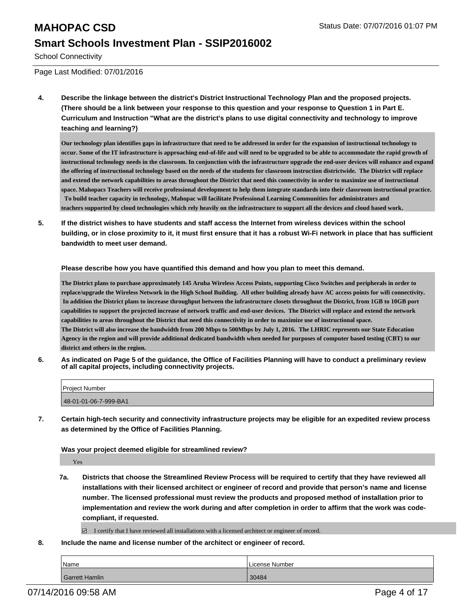# **MAHOPAC CSD** Status Date: 07/07/2016 01:07 PM

### **Smart Schools Investment Plan - SSIP2016002**

School Connectivity

Page Last Modified: 07/01/2016

**4. Describe the linkage between the district's District Instructional Technology Plan and the proposed projects. (There should be a link between your response to this question and your response to Question 1 in Part E. Curriculum and Instruction "What are the district's plans to use digital connectivity and technology to improve teaching and learning?)**

**Our technology plan identifies gaps in infrastructure that need to be addressed in order for the expansion of instructional technology to occur. Some of the IT infrastructure is approaching end-of-life and will need to be upgraded to be able to accommodate the rapid growth of instructional technology needs in the classroom. In conjunction with the infrastructure upgrade the end-user devices will enhance and expand the offering of instructional technology based on the needs of the students for classroom instruction districtwide. The District will replace and extend the network capabilities to areas throughout the District that need this connectivity in order to maximize use of instructional space. Mahopacs Teachers will receive professional development to help them integrate standards into their classroom instructional practice. To build teacher capacity in technology, Mahopac will facilitate Professional Learning Communities for administrators and teachers supported by cloud technologies which rely heavily on the infrastructure to support all the devices and cloud based work.**

**5. If the district wishes to have students and staff access the Internet from wireless devices within the school building, or in close proximity to it, it must first ensure that it has a robust Wi-Fi network in place that has sufficient bandwidth to meet user demand.**

**Please describe how you have quantified this demand and how you plan to meet this demand.**

**The District plans to purchase approximately 145 Aruba Wireless Access Points, supporting Cisco Switches and peripherals in order to replace/upgrade the Wireless Network in the High School Building. All other building already have AC access points for wifi connectivity. In addition the District plans to increase throughput between the infrastructure closets throughout the District, from 1GB to 10GB port capabilities to support the projected increase of network traffic and end-user devices. The District will replace and extend the network capabilities to areas throughout the District that need this connectivity in order to maximize use of instructional space. The District will also increase the bandwidth from 200 Mbps to 500Mbps by July 1, 2016. The LHRIC represents our State Education Agency in the region and will provide additional dedicated bandwidth when needed for purposes of computer based testing (CBT) to our district and others in the region.**

**6. As indicated on Page 5 of the guidance, the Office of Facilities Planning will have to conduct a preliminary review of all capital projects, including connectivity projects.**

| Project Number        |  |
|-----------------------|--|
| 48-01-01-06-7-999-BA1 |  |

**7. Certain high-tech security and connectivity infrastructure projects may be eligible for an expedited review process as determined by the Office of Facilities Planning.**

#### **Was your project deemed eligible for streamlined review?**

Yes

**7a. Districts that choose the Streamlined Review Process will be required to certify that they have reviewed all installations with their licensed architect or engineer of record and provide that person's name and license number. The licensed professional must review the products and proposed method of installation prior to implementation and review the work during and after completion in order to affirm that the work was codecompliant, if requested.**

 $\boxtimes$  I certify that I have reviewed all installations with a licensed architect or engineer of record.

**8. Include the name and license number of the architect or engineer of record.**

| Name           | License Number |
|----------------|----------------|
| Garrett Hamlin | 30484          |

07/14/2016 09:58 AM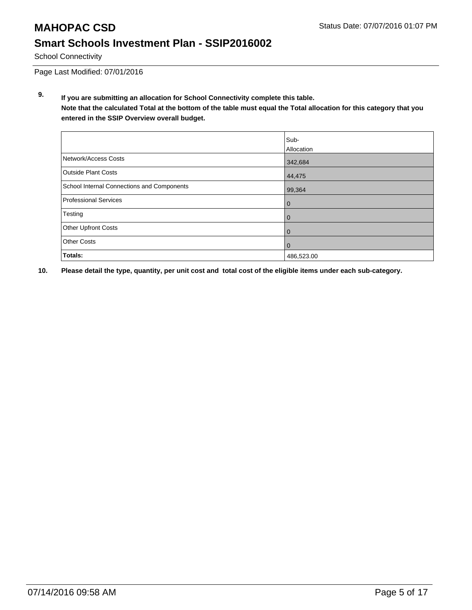## **MAHOPAC CSD** Status Date: 07/07/2016 01:07 PM **Smart Schools Investment Plan - SSIP2016002**

School Connectivity

Page Last Modified: 07/01/2016

**9. If you are submitting an allocation for School Connectivity complete this table. Note that the calculated Total at the bottom of the table must equal the Total allocation for this category that you entered in the SSIP Overview overall budget.** 

|                                            | Sub-<br>Allocation |
|--------------------------------------------|--------------------|
| Network/Access Costs                       | 342,684            |
| <b>Outside Plant Costs</b>                 | 44,475             |
| School Internal Connections and Components | 99,364             |
| <b>Professional Services</b>               | 0                  |
| Testing                                    | 0                  |
| <b>Other Upfront Costs</b>                 | 0                  |
| <b>Other Costs</b>                         | 0                  |
| Totals:                                    | 486,523.00         |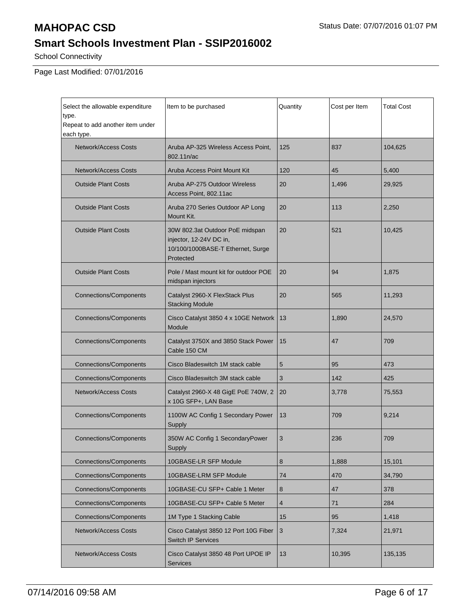School Connectivity

Page Last Modified: 07/01/2016

| Select the allowable expenditure<br>type.      | Item to be purchased                                                                                         | Quantity       | Cost per Item | <b>Total Cost</b> |
|------------------------------------------------|--------------------------------------------------------------------------------------------------------------|----------------|---------------|-------------------|
| Repeat to add another item under<br>each type. |                                                                                                              |                |               |                   |
| <b>Network/Access Costs</b>                    | Aruba AP-325 Wireless Access Point,<br>802.11n/ac                                                            | 125            | 837           | 104,625           |
| <b>Network/Access Costs</b>                    | Aruba Access Point Mount Kit                                                                                 | 120            | 45            | 5,400             |
| <b>Outside Plant Costs</b>                     | Aruba AP-275 Outdoor Wireless<br>Access Point, 802.11ac                                                      | 20             | 1,496         | 29,925            |
| <b>Outside Plant Costs</b>                     | Aruba 270 Series Outdoor AP Long<br>Mount Kit.                                                               | 20             | 113           | 2,250             |
| <b>Outside Plant Costs</b>                     | 30W 802.3at Outdoor PoE midspan<br>injector, 12-24V DC in,<br>10/100/1000BASE-T Ethernet, Surge<br>Protected | 20             | 521           | 10,425            |
| <b>Outside Plant Costs</b>                     | Pole / Mast mount kit for outdoor POE<br>midspan injectors                                                   | 20             | 94            | 1,875             |
| <b>Connections/Components</b>                  | Catalyst 2960-X FlexStack Plus<br><b>Stacking Module</b>                                                     | 20             | 565           | 11,293            |
| <b>Connections/Components</b>                  | Cisco Catalyst 3850 4 x 10GE Network<br>Module                                                               | 13             | 1,890         | 24,570            |
| <b>Connections/Components</b>                  | Catalyst 3750X and 3850 Stack Power<br>Cable 150 CM                                                          | 15             | 47            | 709               |
| <b>Connections/Components</b>                  | Cisco Bladeswitch 1M stack cable                                                                             | 5              | 95            | 473               |
| <b>Connections/Components</b>                  | Cisco Bladeswitch 3M stack cable                                                                             | 3              | 142           | 425               |
| <b>Network/Access Costs</b>                    | Catalyst 2960-X 48 GigE PoE 740W, 2<br>x 10G SFP+, LAN Base                                                  | 20             | 3,778         | 75,553            |
| <b>Connections/Components</b>                  | 1100W AC Config 1 Secondary Power<br>Supply                                                                  | 13             | 709           | 9,214             |
| <b>Connections/Components</b>                  | 350W AC Config 1 SecondaryPower<br>Supply                                                                    | 3              | 236           | 709               |
| <b>Connections/Components</b>                  | 10GBASE-LR SFP Module                                                                                        | 8              | 1,888         | 15,101            |
| <b>Connections/Components</b>                  | 10GBASE-LRM SFP Module                                                                                       | 74             | 470           | 34,790            |
| <b>Connections/Components</b>                  | 10GBASE-CU SFP+ Cable 1 Meter                                                                                | 8              | 47            | 378               |
| <b>Connections/Components</b>                  | 10GBASE-CU SFP+ Cable 5 Meter                                                                                | $\overline{4}$ | 71            | 284               |
| <b>Connections/Components</b>                  | 1M Type 1 Stacking Cable                                                                                     | 15             | 95            | 1,418             |
| <b>Network/Access Costs</b>                    | Cisco Catalyst 3850 12 Port 10G Fiber<br><b>Switch IP Services</b>                                           | $\mathbf{3}$   | 7,324         | 21,971            |
| Network/Access Costs                           | Cisco Catalyst 3850 48 Port UPOE IP<br><b>Services</b>                                                       | 13             | 10,395        | 135,135           |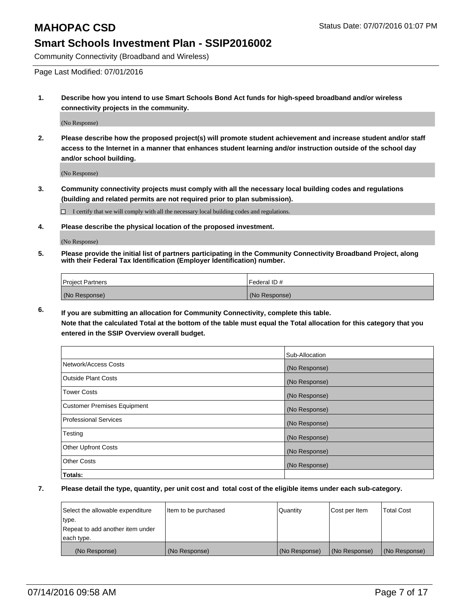Community Connectivity (Broadband and Wireless)

Page Last Modified: 07/01/2016

**1. Describe how you intend to use Smart Schools Bond Act funds for high-speed broadband and/or wireless connectivity projects in the community.**

(No Response)

**2. Please describe how the proposed project(s) will promote student achievement and increase student and/or staff access to the Internet in a manner that enhances student learning and/or instruction outside of the school day and/or school building.**

(No Response)

**3. Community connectivity projects must comply with all the necessary local building codes and regulations (building and related permits are not required prior to plan submission).**

 $\Box$  I certify that we will comply with all the necessary local building codes and regulations.

**4. Please describe the physical location of the proposed investment.**

(No Response)

**5. Please provide the initial list of partners participating in the Community Connectivity Broadband Project, along with their Federal Tax Identification (Employer Identification) number.**

| Project Partners | I Federal ID # |
|------------------|----------------|
| (No Response)    | (No Response)  |

**6. If you are submitting an allocation for Community Connectivity, complete this table. Note that the calculated Total at the bottom of the table must equal the Total allocation for this category that you**

**entered in the SSIP Overview overall budget.**

|                             | Sub-Allocation |
|-----------------------------|----------------|
| Network/Access Costs        | (No Response)  |
| <b>Outside Plant Costs</b>  | (No Response)  |
| Tower Costs                 | (No Response)  |
| Customer Premises Equipment | (No Response)  |
| Professional Services       | (No Response)  |
| Testing                     | (No Response)  |
| <b>Other Upfront Costs</b>  | (No Response)  |
| Other Costs                 | (No Response)  |
| Totals:                     |                |

| Select the allowable expenditure | litem to be purchased | Quantity      | Cost per Item | <b>Total Cost</b> |
|----------------------------------|-----------------------|---------------|---------------|-------------------|
| type.                            |                       |               |               |                   |
| Repeat to add another item under |                       |               |               |                   |
| each type.                       |                       |               |               |                   |
| (No Response)                    | (No Response)         | (No Response) | (No Response) | (No Response)     |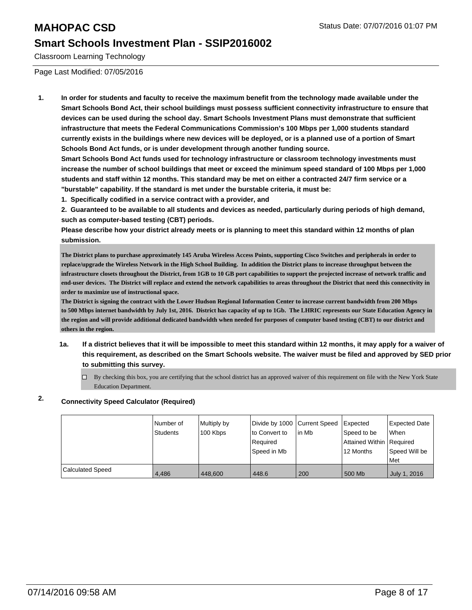Classroom Learning Technology

Page Last Modified: 07/05/2016

**1. In order for students and faculty to receive the maximum benefit from the technology made available under the Smart Schools Bond Act, their school buildings must possess sufficient connectivity infrastructure to ensure that devices can be used during the school day. Smart Schools Investment Plans must demonstrate that sufficient infrastructure that meets the Federal Communications Commission's 100 Mbps per 1,000 students standard currently exists in the buildings where new devices will be deployed, or is a planned use of a portion of Smart Schools Bond Act funds, or is under development through another funding source.**

**Smart Schools Bond Act funds used for technology infrastructure or classroom technology investments must increase the number of school buildings that meet or exceed the minimum speed standard of 100 Mbps per 1,000 students and staff within 12 months. This standard may be met on either a contracted 24/7 firm service or a "burstable" capability. If the standard is met under the burstable criteria, it must be:**

**1. Specifically codified in a service contract with a provider, and**

**2. Guaranteed to be available to all students and devices as needed, particularly during periods of high demand, such as computer-based testing (CBT) periods.**

**Please describe how your district already meets or is planning to meet this standard within 12 months of plan submission.**

**The District plans to purchase approximately 145 Aruba Wireless Access Points, supporting Cisco Switches and peripherals in order to replace/upgrade the Wireless Network in the High School Building. In addition the District plans to increase throughput between the infrastructure closets throughout the District, from 1GB to 10 GB port capabilities to support the projected increase of network traffic and end-user devices. The District will replace and extend the network capabilities to areas throughout the District that need this connectivity in order to maximize use of instructional space.**

**The District is signing the contract with the Lower Hudson Regional Information Center to increase current bandwidth from 200 Mbps to 500 Mbps internet bandwidth by July 1st, 2016. District has capacity of up to 1Gb. The LHRIC represents our State Education Agency in the region and will provide additional dedicated bandwidth when needed for purposes of computer based testing (CBT) to our district and others in the region.**

- **1a. If a district believes that it will be impossible to meet this standard within 12 months, it may apply for a waiver of this requirement, as described on the Smart Schools website. The waiver must be filed and approved by SED prior to submitting this survey.**
	- $\Box$  By checking this box, you are certifying that the school district has an approved waiver of this requirement on file with the New York State Education Department.

#### **2. Connectivity Speed Calculator (Required)**

|                         | Number of       | Multiply by | Divide by 1000 Current Speed |        | Expected                 | Expected Date |
|-------------------------|-----------------|-------------|------------------------------|--------|--------------------------|---------------|
|                         | <b>Students</b> | 100 Kbps    | to Convert to                | lin Mb | Speed to be              | <b>When</b>   |
|                         |                 |             | l Reauired                   |        | Attained Within Required |               |
|                         |                 |             | Speed in Mb                  |        | 12 Months                | Speed Will be |
|                         |                 |             |                              |        |                          | <b>Met</b>    |
| <b>Calculated Speed</b> | 4,486           | 448,600     | 448.6                        | 200    | 500 Mb                   | July 1, 2016  |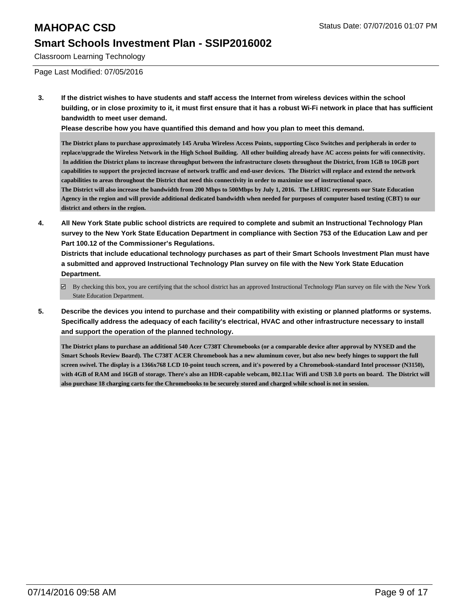Classroom Learning Technology

Page Last Modified: 07/05/2016

**3. If the district wishes to have students and staff access the Internet from wireless devices within the school building, or in close proximity to it, it must first ensure that it has a robust Wi-Fi network in place that has sufficient bandwidth to meet user demand.**

**Please describe how you have quantified this demand and how you plan to meet this demand.**

**The District plans to purchase approximately 145 Aruba Wireless Access Points, supporting Cisco Switches and peripherals in order to replace/upgrade the Wireless Network in the High School Building. All other building already have AC access points for wifi connectivity. In addition the District plans to increase throughput between the infrastructure closets throughout the District, from 1GB to 10GB port capabilities to support the projected increase of network traffic and end-user devices. The District will replace and extend the network capabilities to areas throughout the District that need this connectivity in order to maximize use of instructional space. The District will also increase the bandwidth from 200 Mbps to 500Mbps by July 1, 2016. The LHRIC represents our State Education Agency in the region and will provide additional dedicated bandwidth when needed for purposes of computer based testing (CBT) to our district and others in the region.**

**4. All New York State public school districts are required to complete and submit an Instructional Technology Plan survey to the New York State Education Department in compliance with Section 753 of the Education Law and per Part 100.12 of the Commissioner's Regulations.**

**Districts that include educational technology purchases as part of their Smart Schools Investment Plan must have a submitted and approved Instructional Technology Plan survey on file with the New York State Education Department.**

- $\boxdot$  By checking this box, you are certifying that the school district has an approved Instructional Technology Plan survey on file with the New York State Education Department.
- **5. Describe the devices you intend to purchase and their compatibility with existing or planned platforms or systems. Specifically address the adequacy of each facility's electrical, HVAC and other infrastructure necessary to install and support the operation of the planned technology.**

**The District plans to purchase an additional 540 Acer C738T Chromebooks (or a comparable device after approval by NYSED and the Smart Schools Review Board). The C738T ACER Chromebook has a new aluminum cover, but also new beefy hinges to support the full screen swivel. The display is a 1366x768 LCD 10-point touch screen, and it's powered by a Chromebook-standard Intel processor (N3150), with 4GB of RAM and 16GB of storage. There's also an HDR-capable webcam, 802.11ac Wifi and USB 3.0 ports on board. The District will also purchase 18 charging carts for the Chromebooks to be securely stored and charged while school is not in session.**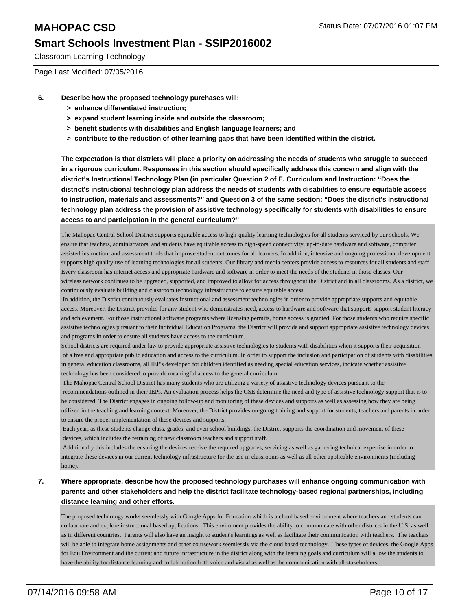Classroom Learning Technology

Page Last Modified: 07/05/2016

- **6. Describe how the proposed technology purchases will:**
	- **> enhance differentiated instruction;**
	- **> expand student learning inside and outside the classroom;**
	- **> benefit students with disabilities and English language learners; and**
	- **> contribute to the reduction of other learning gaps that have been identified within the district.**

**The expectation is that districts will place a priority on addressing the needs of students who struggle to succeed in a rigorous curriculum. Responses in this section should specifically address this concern and align with the district's Instructional Technology Plan (in particular Question 2 of E. Curriculum and Instruction: "Does the district's instructional technology plan address the needs of students with disabilities to ensure equitable access to instruction, materials and assessments?" and Question 3 of the same section: "Does the district's instructional technology plan address the provision of assistive technology specifically for students with disabilities to ensure access to and participation in the general curriculum?"**

The Mahopac Central School District supports equitable access to high-quality learning technologies for all students serviced by our schools. We ensure that teachers, administrators, and students have equitable access to high-speed connectivity, up-to-date hardware and software, computer assisted instruction, and assessment tools that improve student outcomes for all learners. In addition, intensive and ongoing professional development supports high quality use of learning technologies for all students. Our library and media centers provide access to resources for all students and staff. Every classroom has internet access and appropriate hardware and software in order to meet the needs of the students in those classes. Our wireless network continues to be upgraded, supported, and improved to allow for access throughout the District and in all classrooms. As a district, we continuously evaluate building and classroom technology infrastructure to ensure equitable access.

 In addition, the District continuously evaluates instructional and assessment technologies in order to provide appropriate supports and equitable access. Moreover, the District provides for any student who demonstrates need, access to hardware and software that supports support student literacy and achievement. For those instructional software programs where licensing permits, home access is granted. For those students who require specific assistive technologies pursuant to their Individual Education Programs, the District will provide and support appropriate assistive technology devices and programs in order to ensure all students have access to the curriculum.

School districts are required under law to provide appropriate assistive technologies to students with disabilities when it supports their acquisition of a free and appropriate public education and access to the curriculum. In order to support the inclusion and participation of students with disabilities in general education classrooms, all IEP's developed for children identified as needing special education services, indicate whether assistive technology has been considered to provide meaningful access to the general curriculum.

 The Mahopac Central School District has many students who are utilizing a variety of assistive technology devices pursuant to the recommendations outlined in their IEPs. An evaluation process helps the CSE determine the need and type of assistive technology support that is to be considered. The District engages in ongoing follow-up and monitoring of these devices and supports as well as assessing how they are being utilized in the teaching and learning context. Moreover, the District provides on-going training and support for students, teachers and parents in order to ensure the proper implementation of these devices and supports.

 Each year, as these students change class, grades, and even school buildings, the District supports the coordination and movement of these devices, which includes the retraining of new classroom teachers and support staff.

 Additionally this includes the ensuring the devices receive the required upgrades, servicing as well as garnering technical expertise in order to integrate these devices in our current technology infrastructure for the use in classrooms as well as all other applicable environments (including home).

#### **7. Where appropriate, describe how the proposed technology purchases will enhance ongoing communication with parents and other stakeholders and help the district facilitate technology-based regional partnerships, including distance learning and other efforts.**

The proposed technology works seemlessly with Google Apps for Education which is a cloud based environment where teachers and students can collaborate and explore instructional based applications. This enviroment provides the ability to communicate with other districts in the U.S. as well as in different countries. Parents will also have an insight to student's learnings as well as facilitate their communication with teachers. The teachers will be able to integrate home assignments and other coursework seemlessly via the cloud based technology. These types of devices, the Google Apps for Edu Environment and the current and future infrastructure in the district along with the learning goals and curriculum will allow the students to have the ability for distance learning and collaboration both voice and visual as well as the communication with all stakeholders.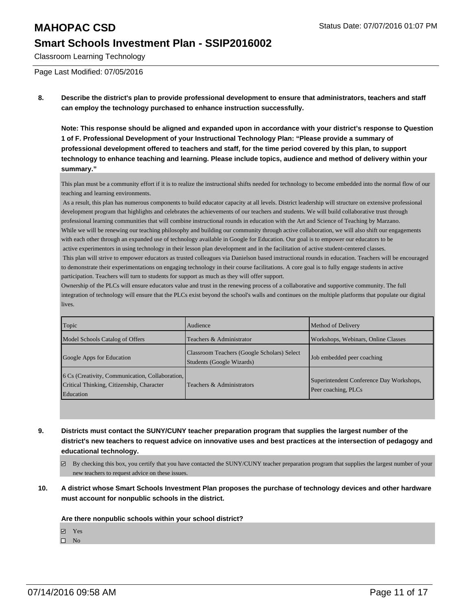Classroom Learning Technology

Page Last Modified: 07/05/2016

**8. Describe the district's plan to provide professional development to ensure that administrators, teachers and staff can employ the technology purchased to enhance instruction successfully.**

**Note: This response should be aligned and expanded upon in accordance with your district's response to Question 1 of F. Professional Development of your Instructional Technology Plan: "Please provide a summary of professional development offered to teachers and staff, for the time period covered by this plan, to support technology to enhance teaching and learning. Please include topics, audience and method of delivery within your summary."**

This plan must be a community effort if it is to realize the instructional shifts needed for technology to become embedded into the normal flow of our teaching and learning environments.

 As a result, this plan has numerous components to build educator capacity at all levels. District leadership will structure on extensive professional development program that highlights and celebrates the achievements of our teachers and students. We will build collaborative trust through professional learning communities that will combine instructional rounds in education with the Art and Science of Teaching by Marzano. While we will be renewing our teaching philosophy and building our community through active collaboration, we will also shift our engagements with each other through an expanded use of technology available in Google for Education. Our goal is to empower our educators to be active experimentors in using technology in their lesson plan development and in the facilitation of active student-centered classes. This plan will strive to empower educators as trusted colleagues via Danielson based instructional rounds in education. Teachers will be encouraged

to demonstrate their experimentations on engaging technology in their course facilitations. A core goal is to fully engage students in active participation. Teachers will turn to students for support as much as they will offer support.

Ownership of the PLCs will ensure educators value and trust in the renewing process of a collaborative and supportive community. The full integration of technology will ensure that the PLCs exist beyond the school's walls and continues on the multiple platforms that populate our digital lives.

| Topic                                                                                                             | Audience                                                                 | Method of Delivery                                              |
|-------------------------------------------------------------------------------------------------------------------|--------------------------------------------------------------------------|-----------------------------------------------------------------|
| Model Schools Catalog of Offers                                                                                   | Teachers & Administrator                                                 | Workshops, Webinars, Online Classes                             |
| Google Apps for Education                                                                                         | Classroom Teachers (Google Scholars) Select<br>Students (Google Wizards) | Job embedded peer coaching                                      |
| [6 Cs (Creativity, Communication, Collaboration,<br>Critical Thinking, Citizenship, Character<br><b>Education</b> | Teachers & Administrators                                                | Superintendent Conference Day Workshops,<br>Peer coaching, PLCs |

- **9. Districts must contact the SUNY/CUNY teacher preparation program that supplies the largest number of the district's new teachers to request advice on innovative uses and best practices at the intersection of pedagogy and educational technology.**
	- By checking this box, you certify that you have contacted the SUNY/CUNY teacher preparation program that supplies the largest number of your new teachers to request advice on these issues.
- **10. A district whose Smart Schools Investment Plan proposes the purchase of technology devices and other hardware must account for nonpublic schools in the district.**

#### **Are there nonpublic schools within your school district?**

Yes

 $\square$  No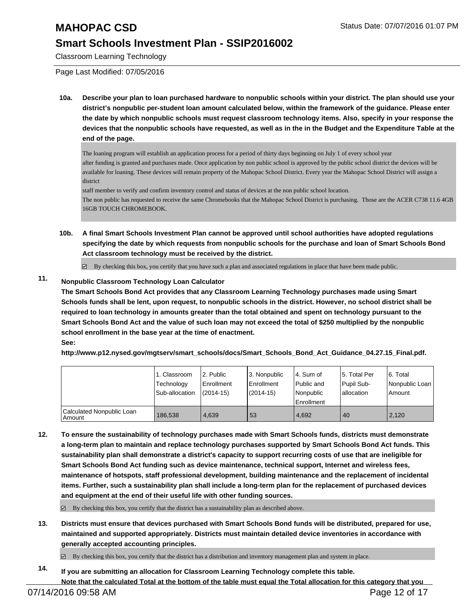Classroom Learning Technology

Page Last Modified: 07/05/2016

**10a. Describe your plan to loan purchased hardware to nonpublic schools within your district. The plan should use your district's nonpublic per-student loan amount calculated below, within the framework of the guidance. Please enter the date by which nonpublic schools must request classroom technology items. Also, specify in your response the devices that the nonpublic schools have requested, as well as in the in the Budget and the Expenditure Table at the end of the page.**

The loaning program will establish an application process for a period of thirty days beginning on July 1 of every school year after funding is granted and purchases made. Once application by non public school is approved by the public school district the devices will be available for loaning. These devices will remain property of the Mahopac School District. Every year the Mahopac School District will assign a district

staff member to verify and confirm inventory control and status of devices at the non public school location. The non public has requested to receive the same Chromebooks that the Mahopac School District is purchasing. Those are the ACER C738 11.6 4GB 16GB TOUCH CHROMEBOOK.

**10b. A final Smart Schools Investment Plan cannot be approved until school authorities have adopted regulations specifying the date by which requests from nonpublic schools for the purchase and loan of Smart Schools Bond Act classroom technology must be received by the district.**

 $\overline{\mathcal{C}}$ By checking this box, you certify that you have such a plan and associated regulations in place that have been made public.

### **11. Nonpublic Classroom Technology Loan Calculator**

**The Smart Schools Bond Act provides that any Classroom Learning Technology purchases made using Smart Schools funds shall be lent, upon request, to nonpublic schools in the district. However, no school district shall be required to loan technology in amounts greater than the total obtained and spent on technology pursuant to the Smart Schools Bond Act and the value of such loan may not exceed the total of \$250 multiplied by the nonpublic school enrollment in the base year at the time of enactment. See:**

**http://www.p12.nysed.gov/mgtserv/smart\_schools/docs/Smart\_Schools\_Bond\_Act\_Guidance\_04.27.15\_Final.pdf.**

|                                     | 1. Classroom<br>Technology<br>Sub-allocation | 2. Public<br>Enrollment<br>$(2014-15)$ | 3. Nonpublic<br><b>Enrollment</b><br>$(2014 - 15)$ | l 4. Sum of<br>l Public and<br>l Nonpublic<br>Enrollment | l 5. Total Per<br>Pupil Sub-<br>lallocation | 6. Total<br>Nonpublic Loan<br>Amount |
|-------------------------------------|----------------------------------------------|----------------------------------------|----------------------------------------------------|----------------------------------------------------------|---------------------------------------------|--------------------------------------|
| Calculated Nonpublic Loan<br>Amount | 186.538                                      | 4.639                                  | 53                                                 | 4.692                                                    | 40                                          | 2.120                                |

**12. To ensure the sustainability of technology purchases made with Smart Schools funds, districts must demonstrate a long-term plan to maintain and replace technology purchases supported by Smart Schools Bond Act funds. This sustainability plan shall demonstrate a district's capacity to support recurring costs of use that are ineligible for Smart Schools Bond Act funding such as device maintenance, technical support, Internet and wireless fees, maintenance of hotspots, staff professional development, building maintenance and the replacement of incidental items. Further, such a sustainability plan shall include a long-term plan for the replacement of purchased devices and equipment at the end of their useful life with other funding sources.**

 $\boxtimes$  By checking this box, you certify that the district has a sustainability plan as described above.

**13. Districts must ensure that devices purchased with Smart Schools Bond funds will be distributed, prepared for use, maintained and supported appropriately. Districts must maintain detailed device inventories in accordance with generally accepted accounting principles.**

By checking this box, you certify that the district has a distribution and inventory management plan and system in place.

**14. If you are submitting an allocation for Classroom Learning Technology complete this table. Note that the calculated Total at the bottom of the table must equal the Total allocation for this category that you**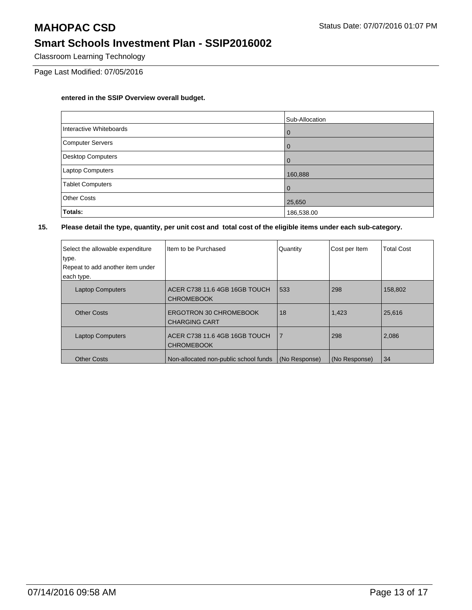Classroom Learning Technology

Page Last Modified: 07/05/2016

#### **entered in the SSIP Overview overall budget.**

|                          | Sub-Allocation |
|--------------------------|----------------|
| Interactive Whiteboards  | $\overline{0}$ |
| Computer Servers         | $\mathbf 0$    |
| <b>Desktop Computers</b> | $\mathbf 0$    |
| Laptop Computers         | 160,888        |
| <b>Tablet Computers</b>  | $\mathbf 0$    |
| <b>Other Costs</b>       | 25,650         |
| Totals:                  | 186,538.00     |

| Select the allowable expenditure<br>type.<br>Repeat to add another item under<br>each type. | Item to be Purchased                               | Quantity       | Cost per Item | <b>Total Cost</b> |
|---------------------------------------------------------------------------------------------|----------------------------------------------------|----------------|---------------|-------------------|
| <b>Laptop Computers</b>                                                                     | ACER C738 11.6 4GB 16GB TOUCH<br><b>CHROMEBOOK</b> | 533            | 298           | 158,802           |
| <b>Other Costs</b>                                                                          | ERGOTRON 30 CHROMEBOOK<br><b>CHARGING CART</b>     | 18             | 1,423         | 25,616            |
| <b>Laptop Computers</b>                                                                     | ACER C738 11.6 4GB 16GB TOUCH<br><b>CHROMEBOOK</b> | $\overline{7}$ | 298           | 2,086             |
| <b>Other Costs</b>                                                                          | Non-allocated non-public school funds              | (No Response)  | (No Response) | 34                |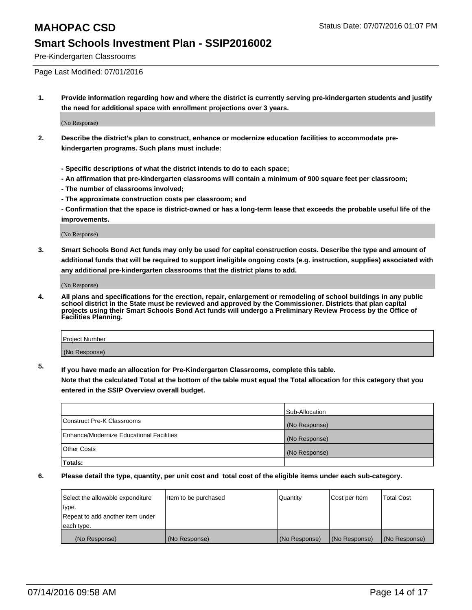Pre-Kindergarten Classrooms

Page Last Modified: 07/01/2016

**1. Provide information regarding how and where the district is currently serving pre-kindergarten students and justify the need for additional space with enrollment projections over 3 years.**

(No Response)

- **2. Describe the district's plan to construct, enhance or modernize education facilities to accommodate prekindergarten programs. Such plans must include:**
	- **Specific descriptions of what the district intends to do to each space;**
	- **An affirmation that pre-kindergarten classrooms will contain a minimum of 900 square feet per classroom;**
	- **The number of classrooms involved;**
	- **The approximate construction costs per classroom; and**
	- **Confirmation that the space is district-owned or has a long-term lease that exceeds the probable useful life of the improvements.**

(No Response)

**3. Smart Schools Bond Act funds may only be used for capital construction costs. Describe the type and amount of additional funds that will be required to support ineligible ongoing costs (e.g. instruction, supplies) associated with any additional pre-kindergarten classrooms that the district plans to add.**

(No Response)

**4. All plans and specifications for the erection, repair, enlargement or remodeling of school buildings in any public school district in the State must be reviewed and approved by the Commissioner. Districts that plan capital projects using their Smart Schools Bond Act funds will undergo a Preliminary Review Process by the Office of Facilities Planning.**

| Project Number |  |
|----------------|--|
| (No Response)  |  |

**5. If you have made an allocation for Pre-Kindergarten Classrooms, complete this table.**

**Note that the calculated Total at the bottom of the table must equal the Total allocation for this category that you entered in the SSIP Overview overall budget.**

|                                          | Sub-Allocation |
|------------------------------------------|----------------|
| Construct Pre-K Classrooms               | (No Response)  |
| Enhance/Modernize Educational Facilities | (No Response)  |
| <b>Other Costs</b>                       | (No Response)  |
| Totals:                                  |                |

| Select the allowable expenditure | litem to be purchased | Quantity      | Cost per Item | <b>Total Cost</b> |
|----------------------------------|-----------------------|---------------|---------------|-------------------|
| type.                            |                       |               |               |                   |
| Repeat to add another item under |                       |               |               |                   |
| each type.                       |                       |               |               |                   |
| (No Response)                    | (No Response)         | (No Response) | (No Response) | (No Response)     |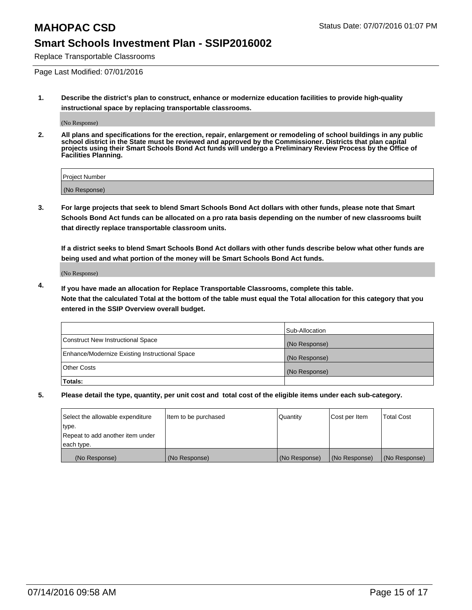Replace Transportable Classrooms

Page Last Modified: 07/01/2016

**1. Describe the district's plan to construct, enhance or modernize education facilities to provide high-quality instructional space by replacing transportable classrooms.**

(No Response)

**2. All plans and specifications for the erection, repair, enlargement or remodeling of school buildings in any public school district in the State must be reviewed and approved by the Commissioner. Districts that plan capital projects using their Smart Schools Bond Act funds will undergo a Preliminary Review Process by the Office of Facilities Planning.**

| <b>Project Number</b> |  |
|-----------------------|--|
| (No Response)         |  |

**3. For large projects that seek to blend Smart Schools Bond Act dollars with other funds, please note that Smart Schools Bond Act funds can be allocated on a pro rata basis depending on the number of new classrooms built that directly replace transportable classroom units.**

**If a district seeks to blend Smart Schools Bond Act dollars with other funds describe below what other funds are being used and what portion of the money will be Smart Schools Bond Act funds.**

(No Response)

**4. If you have made an allocation for Replace Transportable Classrooms, complete this table. Note that the calculated Total at the bottom of the table must equal the Total allocation for this category that you entered in the SSIP Overview overall budget.**

|                                                | Sub-Allocation |
|------------------------------------------------|----------------|
| Construct New Instructional Space              | (No Response)  |
| Enhance/Modernize Existing Instructional Space | (No Response)  |
| Other Costs                                    | (No Response)  |
| Totals:                                        |                |

| Select the allowable expenditure | Item to be purchased | Quantity      | Cost per Item | <b>Total Cost</b> |
|----------------------------------|----------------------|---------------|---------------|-------------------|
| type.                            |                      |               |               |                   |
| Repeat to add another item under |                      |               |               |                   |
| each type.                       |                      |               |               |                   |
| (No Response)                    | (No Response)        | (No Response) | (No Response) | (No Response)     |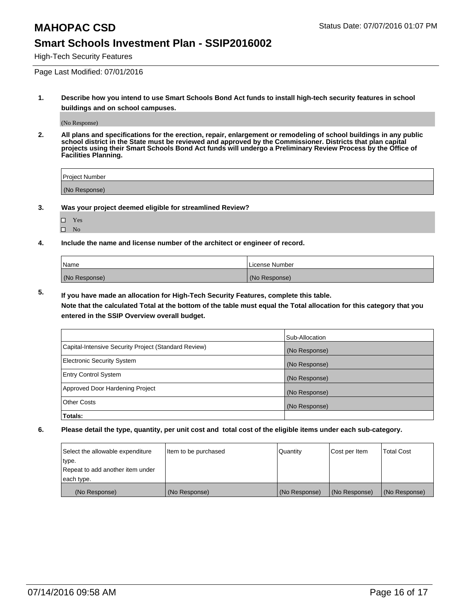High-Tech Security Features

Page Last Modified: 07/01/2016

**1. Describe how you intend to use Smart Schools Bond Act funds to install high-tech security features in school buildings and on school campuses.**

(No Response)

**2. All plans and specifications for the erection, repair, enlargement or remodeling of school buildings in any public school district in the State must be reviewed and approved by the Commissioner. Districts that plan capital projects using their Smart Schools Bond Act funds will undergo a Preliminary Review Process by the Office of Facilities Planning.** 

| Project Number |  |
|----------------|--|
| (No Response)  |  |

**3. Was your project deemed eligible for streamlined Review?**

| ш  | Yes |  |
|----|-----|--|
| LТ | Nο  |  |

**4. Include the name and license number of the architect or engineer of record.**

| Name          | License Number |
|---------------|----------------|
| (No Response) | (No Response)  |

**5. If you have made an allocation for High-Tech Security Features, complete this table.**

**Note that the calculated Total at the bottom of the table must equal the Total allocation for this category that you entered in the SSIP Overview overall budget.**

|                                                      | Sub-Allocation |
|------------------------------------------------------|----------------|
| Capital-Intensive Security Project (Standard Review) | (No Response)  |
| <b>Electronic Security System</b>                    | (No Response)  |
| <b>Entry Control System</b>                          | (No Response)  |
| Approved Door Hardening Project                      | (No Response)  |
| <b>Other Costs</b>                                   | (No Response)  |
| Totals:                                              |                |

| Select the allowable expenditure | litem to be purchased | Quantity      | Cost per Item | <b>Total Cost</b> |
|----------------------------------|-----------------------|---------------|---------------|-------------------|
| type.                            |                       |               |               |                   |
| Repeat to add another item under |                       |               |               |                   |
| each type.                       |                       |               |               |                   |
| (No Response)                    | (No Response)         | (No Response) | (No Response) | (No Response)     |